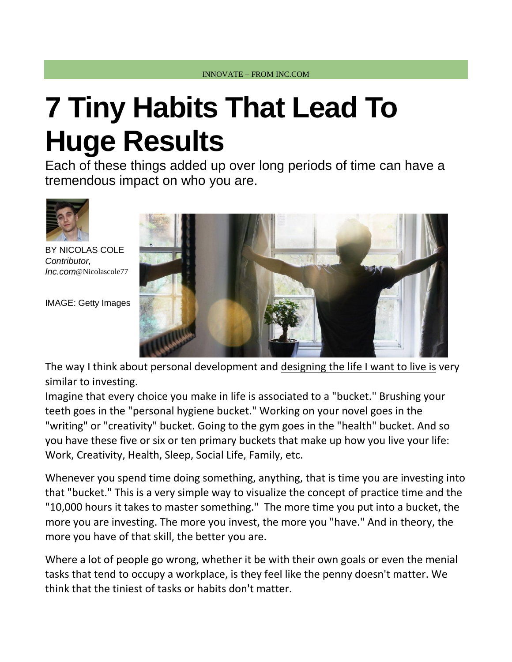# **7 Tiny Habits That Lead To Huge Results**

Each of these things added up over long periods of time can have a tremendous impact on who you are.



BY [NICOLAS](http://www.inc.com/author/nicolas-cole) COLE *Contributor, Inc.com*@[Nicolascole77](http://www.twitter.com/Nicolascole77)

IMAGE: Getty Images



The way I think about personal development and [designing the life I want to live is](http://www.inc.com/nicolas-cole/you-either-live-by-default-or-you-live-by-design-you-choose.html) very similar to investing.

Imagine that every choice you make in life is associated to a "bucket." Brushing your teeth goes in the "personal hygiene bucket." Working on your novel goes in the "writing" or "creativity" bucket. Going to the gym goes in the "health" bucket. And so you have these five or six or ten primary buckets that make up how you live your life: Work, Creativity, Health, Sleep, Social Life, Family, etc.

Whenever you spend time doing something, anything, that is time you are investing into that "bucket." This is a very simple way to visualize the concept of practice time and the "10,000 hours it takes to master something." The more time you put into a bucket, the more you are investing. The more you invest, the more you "have." And in theory, the more you have of that skill, the better you are.

Where a lot of people go wrong, whether it be with their own goals or even the menial tasks that tend to occupy a workplace, is they feel like the penny doesn't matter. We think that the tiniest of tasks or habits don't matter.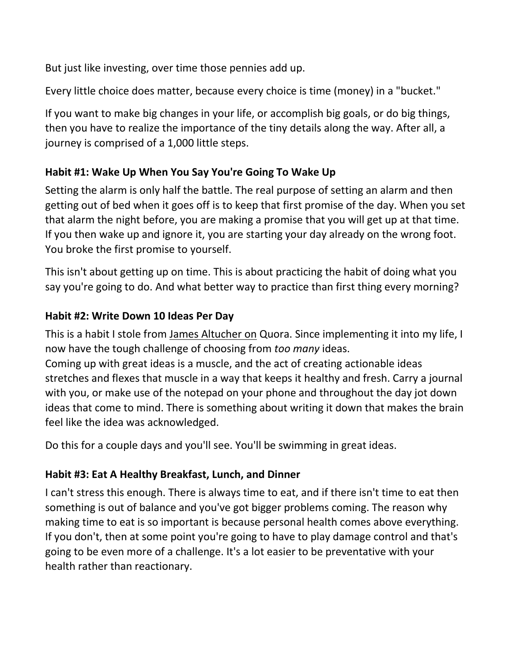But just like investing, over time those pennies add up.

Every little choice does matter, because every choice is time (money) in a "bucket."

If you want to make big changes in your life, or accomplish big goals, or do big things, then you have to realize the importance of the tiny details along the way. After all, a journey is comprised of a 1,000 little steps.

# **Habit #1: Wake Up When You Say You're Going To Wake Up**

Setting the alarm is only half the battle. The real purpose of setting an alarm and then getting out of bed when it goes off is to keep that first promise of the day. When you set that alarm the night before, you are making a promise that you will get up at that time. If you then wake up and ignore it, you are starting your day already on the wrong foot. You broke the first promise to yourself.

This isn't about getting up on time. This is about practicing the habit of doing what you say you're going to do. And what better way to practice than first thing every morning?

## **Habit #2: Write Down 10 Ideas Per Day**

This is a habit I stole from [James Altucher on](https://www.quora.com/profile/James-Altucher) Quora. Since implementing it into my life, I now have the tough challenge of choosing from *too many* ideas.

Coming up with great ideas is a muscle, and the act of creating actionable ideas stretches and flexes that muscle in a way that keeps it healthy and fresh. Carry a journal with you, or make use of the notepad on your phone and throughout the day jot down ideas that come to mind. There is something about writing it down that makes the brain feel like the idea was acknowledged.

Do this for a couple days and you'll see. You'll be swimming in great ideas.

## **Habit #3: Eat A Healthy Breakfast, Lunch, and Dinner**

I can't stress this enough. There is always time to eat, and if there isn't time to eat then something is out of balance and you've got bigger problems coming. The reason why making time to eat is so important is because personal health comes above everything. If you don't, then at some point you're going to have to play damage control and that's going to be even more of a challenge. It's a lot easier to be preventative with your health rather than reactionary.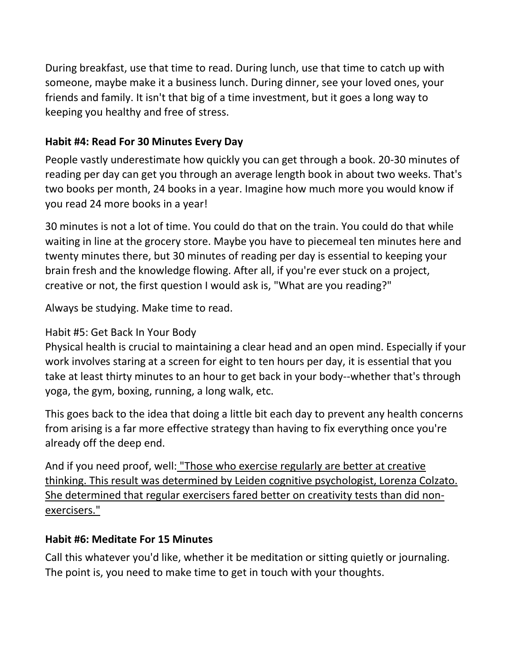During breakfast, use that time to read. During lunch, use that time to catch up with someone, maybe make it a business lunch. During dinner, see your loved ones, your friends and family. It isn't that big of a time investment, but it goes a long way to keeping you healthy and free of stress.

#### **Habit #4: Read For 30 Minutes Every Day**

People vastly underestimate how quickly you can get through a book. 20-30 minutes of reading per day can get you through an average length book in about two weeks. That's two books per month, 24 books in a year. Imagine how much more you would know if you read 24 more books in a year!

30 minutes is not a lot of time. You could do that on the train. You could do that while waiting in line at the grocery store. Maybe you have to piecemeal ten minutes here and twenty minutes there, but 30 minutes of reading per day is essential to keeping your brain fresh and the knowledge flowing. After all, if you're ever stuck on a project, creative or not, the first question I would ask is, "What are you reading?"

Always be studying. Make time to read.

### Habit #5: Get Back In Your Body

Physical health is crucial to maintaining a clear head and an open mind. Especially if your work involves staring at a screen for eight to ten hours per day, it is essential that you take at least thirty minutes to an hour to get back in your body--whether that's through yoga, the gym, boxing, running, a long walk, etc.

This goes back to the idea that doing a little bit each day to prevent any health concerns from arising is a far more effective strategy than having to fix everything once you're already off the deep end.

And if you need proof, well: ["Those who exercise regularly are better at creative](http://www.finearttips.com/2013/12/the-link-between-exercise-and-creativity/)  thinking. [This result was determined by Leiden cognitive psychologist, Lorenza Colzato.](http://www.finearttips.com/2013/12/the-link-between-exercise-and-creativity/)  She [determined that regular exercisers fared better on creativity tests than did non](http://www.finearttips.com/2013/12/the-link-between-exercise-and-creativity/)[exercisers."](http://www.finearttips.com/2013/12/the-link-between-exercise-and-creativity/)

#### **Habit #6: Meditate For 15 Minutes**

Call this whatever you'd like, whether it be meditation or sitting quietly or journaling. The point is, you need to make time to get in touch with your thoughts.